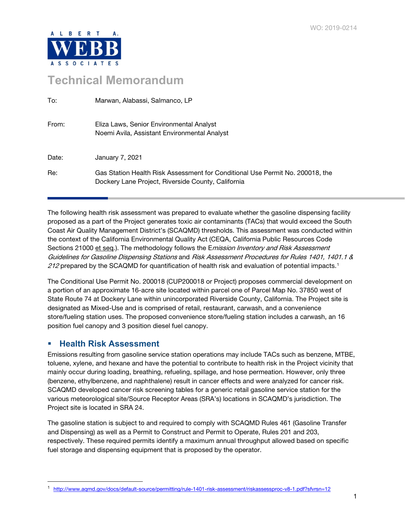

## **Technical Memorandum**

| To:   | Marwan, Alabassi, Salmanco, LP                                                                                                      |
|-------|-------------------------------------------------------------------------------------------------------------------------------------|
| From: | Eliza Laws, Senior Environmental Analyst<br>Noemi Avila, Assistant Environmental Analyst                                            |
| Date: | January 7, 2021                                                                                                                     |
| Re:   | Gas Station Health Risk Assessment for Conditional Use Permit No. 200018, the<br>Dockery Lane Project, Riverside County, California |

The following health risk assessment was prepared to evaluate whether the gasoline dispensing facility proposed as a part of the Project generates toxic air contaminants (TACs) that would exceed the South Coast Air Quality Management District's (SCAQMD) thresholds. This assessment was conducted within the context of the California Environmental Quality Act (CEQA, California Public Resources Code Sections 21000 et seq.). The methodology follows the *Emission Inventory and Risk Assessment* Guidelines for Gasoline Dispensing Stations and Risk Assessment Procedures for Rules 1401, 1401.1 & 2[1](#page-0-0)2 prepared by the SCAQMD for quantification of health risk and evaluation of potential impacts.<sup>1</sup> tation Health Risk Assessment for Conditional Use Permit No<br>by Lane Project, Riverside County, California<br>sk assessment was prepared to evaluate whether the gasolin<br>the Project generates toxic air contaminants (TACs) that

The Conditional Use Permit No. 200018 (CUP200018 or Project) proposes commercial development on a portion of an approximate 16-acre site located within parcel one of Parcel Map No. 37850 west of State Route 74 at Dockery Lane within unincorporated Riverside County, California. The Project site is designated as Mixed-Use and is comprised of retail, restaurant, carwash, and a convenience store/fueling station uses. The proposed convenience store/fueling station includes a carwash, an 16 position fuel canopy and 3 position diesel fuel canopy.

## **Health Risk Assessment**

Emissions resulting from gasoline service station operations may include TACs such as benzene, MTBE, toluene, xylene, and hexane and have the potential to contribute to health risk in the Project vicinity that mainly occur during loading, breathing, refueling, spillage, and hose permeation. However, only three (benzene, ethylbenzene, and naphthalene) result in cancer effects and were analyzed for cancer risk. SCAQMD developed cancer risk screening tables for a generic retail gasoline service station for the various meteorological site/Source Receptor Areas (SRA's) locations in SCAQMD's jurisdiction. The Project site is located in SRA 24.

The gasoline station is subject to and required to comply with SCAQMD Rules 461 (Gasoline Transfer and Dispensing) as well as a Permit to Construct and Permit to Operate, Rules 201 and 203, respectively. These required permits identify a maximum annual throughput allowed based on specific fuel storage and dispensing equipment that is proposed by the operator.

<span id="page-0-0"></span><sup>1</sup> <http://www.aqmd.gov/docs/default-source/permitting/rule-1401-risk-assessment/riskassessproc-v8-1.pdf?sfvrsn=12>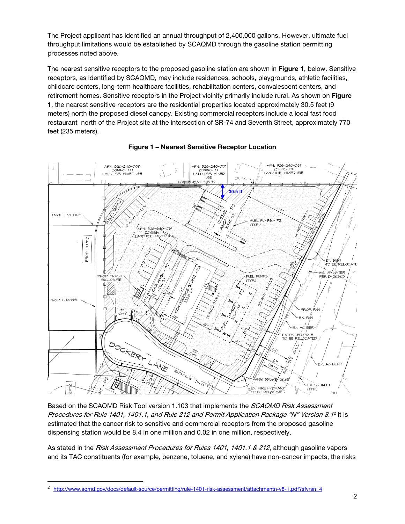The Project applicant has identified an annual throughput of 2,400,000 gallons. However, ultimate fuel throughput limitations would be established by SCAQMD through the gasoline station permitting processes noted above.

The nearest sensitive receptors to the proposed gasoline station are shown in Figure 1, below. Sensitive receptors, as identified by SCAQMD, may include residences, schools, playgrounds, athletic facilities, childcare centers, long-term healthcare facilities, rehabilitation centers, convalescent centers, and retirement homes. Sensitive receptors in the Project vicinity primarily include rural. As shown on Figure 1, the nearest sensitive receptors are the residential properties located approximately 30.5 feet (9 meters) north the proposed diesel canopy. Existing commercial receptors include a local fast food restaurant north of the Project site at the intersection of SR-74 and Seventh Street, approximately 770 feet (235 meters).



## Figure 1 – Nearest Sensitive Receptor Location

Based on the SCAQMD Risk Tool version 1.103 that implements the *SCAQMD Risk Assessment* Procedures for Rule 1401, 1401.1, and Rule [2](#page-1-0)12 and Permit Application Package "N" Version 8.1<sup>2</sup> it is estimated that the cancer risk to sensitive and commercial receptors from the proposed gasoline dispensing station would be 8.4 in one million and 0.02 in one million, respectively.

As stated in the Risk Assessment Procedures for Rules 1401, 1401.1 & 212, although gasoline vapors and its TAC constituents (for example, benzene, toluene, and xylene) have non-cancer impacts, the risks

<span id="page-1-0"></span><sup>2</sup> <http://www.aqmd.gov/docs/default-source/permitting/rule-1401-risk-assessment/attachmentn-v8-1.pdf?sfvrsn=4>